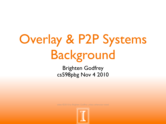# Overlay & P2P Systems Background

Brighten Godfrey cs598pbg Nov 4 2010

slides ©2010 by Brighten Godfrey unless otherwise noted

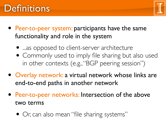#### **Definitions**



- Peer-to-peer system: participants have the same functionality and role in the system
	- ...as opposed to client-server architecture
	- Commonly used to imply file sharing but also used in other contexts (e.g., "BGP peering session")
- Overlay network: a virtual network whose links are end-to-end paths in another network
- Peer-to-peer networks: Intersection of the above two terms
	- Or, can also mean "file sharing systems"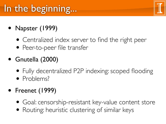# In the beginning...

- Napster (1999)
	- Centralized index server to find the right peer
	- Peer-to-peer file transfer
- Gnutella (2000)
	- Fully decentralized P2P indexing: scoped flooding
	- Problems?
- Freenet (1999)
	- Goal: censorship-resistant key-value content store
	- Routing: heuristic clustering of similar keys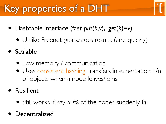# Key properties of a DHT

- Hashtable interface (fast *put*(*k*,*v*), *get*(*k*)=*v*)
	- Unlike Freenet, guarantees results (and quickly)
- **Scalable** 
	- Low memory / communication
	- Uses consistent hashing: transfers in expectation 1/n of objects when a node leaves/joins
- **Resilient** 
	- Still works if, say, 50% of the nodes suddenly fail
- **Decentralized**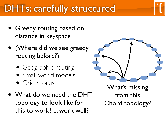### DHTs: carefully structured

- Greedy routing based on distance in keyspace
- (Where did we see greedy routing before?)
	- Geographic routing
	- Small world models
	- Grid / torus
- What do we need the DHT topology to look like for this to work? ... work well?



from this Chord topology?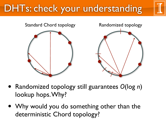# DHTs: check your understanding



- Randomized topology still guarantees *O*(log *n*) lookup hops. Why?
- Why would you do something other than the deterministic Chord topology?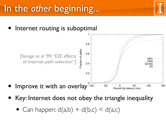#### In the *other* beginning...

Internet routing is suboptimal



- Key: Internet does not obey the triangle inequality  $F_{\rm max}$  the twisp of the mean rollers opey the triangle inequality for an alternate path.
	- Can happen:  $d(a,b) + d(b,c) < d(a,c)$  $\overline{\phantom{0}}$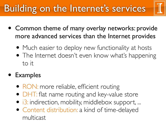# Building on the Internet's services



- Common theme of many overlay networks: provide more advanced services than the Internet provides
	- Much easier to deploy new functionality at hosts
	- The Internet doesn't even know what's happening to it

#### • Examples

- RON: more reliable, efficient routing
- DHT: flat name routing and key-value store
- i3: indirection, mobility, middlebox support, ...
- Content distribution: a kind of time-delayed multicast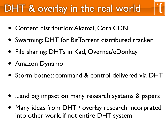## DHT & overlay in the real world



- Content distribution: Akamai, CoralCDN
- Swarming: DHT for BitTorrent distributed tracker
- File sharing: DHTs in Kad, Overnet/eDonkey
- Amazon Dynamo
- Storm botnet: command & control delivered via DHT

- ...and big impact on many research systems & papers
- Many ideas from DHT / overlay research incorprated into other work, if not entire DHT system